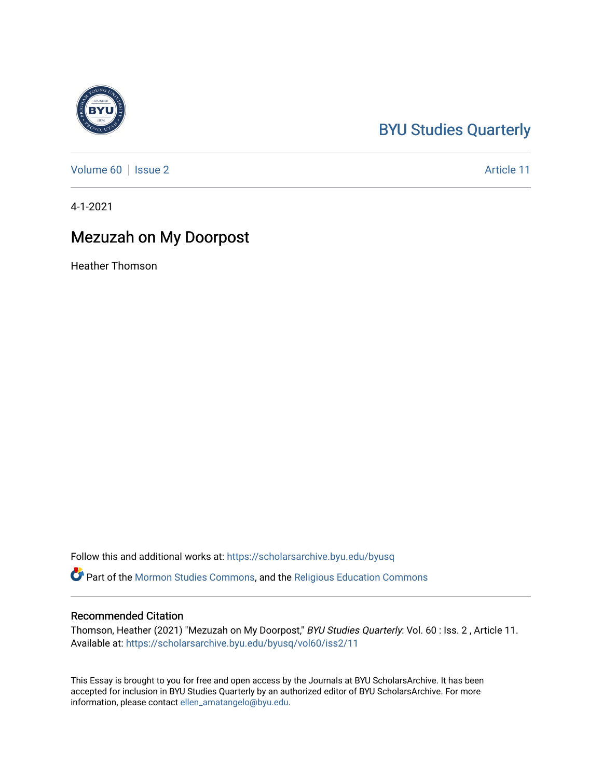## [BYU Studies Quarterly](https://scholarsarchive.byu.edu/byusq)

[Volume 60](https://scholarsarchive.byu.edu/byusq/vol60) | [Issue 2](https://scholarsarchive.byu.edu/byusq/vol60/iss2) Article 11

4-1-2021

## Mezuzah on My Doorpost

Heather Thomson

Follow this and additional works at: [https://scholarsarchive.byu.edu/byusq](https://scholarsarchive.byu.edu/byusq?utm_source=scholarsarchive.byu.edu%2Fbyusq%2Fvol60%2Fiss2%2F11&utm_medium=PDF&utm_campaign=PDFCoverPages) 

Part of the [Mormon Studies Commons](http://network.bepress.com/hgg/discipline/1360?utm_source=scholarsarchive.byu.edu%2Fbyusq%2Fvol60%2Fiss2%2F11&utm_medium=PDF&utm_campaign=PDFCoverPages), and the [Religious Education Commons](http://network.bepress.com/hgg/discipline/1414?utm_source=scholarsarchive.byu.edu%2Fbyusq%2Fvol60%2Fiss2%2F11&utm_medium=PDF&utm_campaign=PDFCoverPages) 

## Recommended Citation

Thomson, Heather (2021) "Mezuzah on My Doorpost," BYU Studies Quarterly: Vol. 60 : Iss. 2 , Article 11. Available at: [https://scholarsarchive.byu.edu/byusq/vol60/iss2/11](https://scholarsarchive.byu.edu/byusq/vol60/iss2/11?utm_source=scholarsarchive.byu.edu%2Fbyusq%2Fvol60%2Fiss2%2F11&utm_medium=PDF&utm_campaign=PDFCoverPages) 

This Essay is brought to you for free and open access by the Journals at BYU ScholarsArchive. It has been accepted for inclusion in BYU Studies Quarterly by an authorized editor of BYU ScholarsArchive. For more information, please contact [ellen\\_amatangelo@byu.edu.](mailto:ellen_amatangelo@byu.edu)

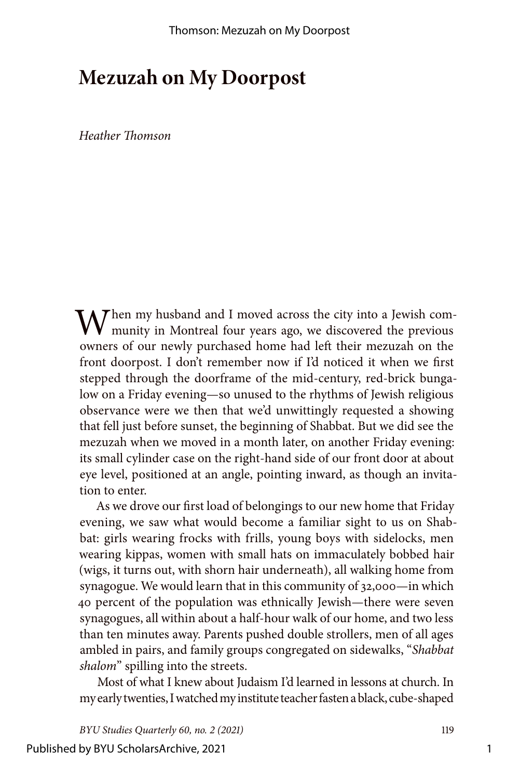## **Mezuzah on My Doorpost**

*Heather Thomson*

 $\bigvee$ hen my husband and I moved across the city into a Jewish community in Montreal four years ago, we discovered the previous owners of our newly purchased home had left their mezuzah on the front doorpost. I don't remember now if I'd noticed it when we first stepped through the doorframe of the mid-century, red-brick bungalow on a Friday evening—so unused to the rhythms of Jewish religious observance were we then that we'd unwittingly requested a showing that fell just before sunset, the beginning of Shabbat. But we did see the mezuzah when we moved in a month later, on another Friday evening: its small cylinder case on the right-hand side of our front door at about eye level, positioned at an angle, pointing inward, as though an invitation to enter.

As we drove our first load of belongings to our new home that Friday evening, we saw what would become a familiar sight to us on Shabbat: girls wearing frocks with frills, young boys with sidelocks, men wearing kippas, women with small hats on immaculately bobbed hair (wigs, it turns out, with shorn hair underneath), all walking home from synagogue. We would learn that in this community of 32,000—in which 40 percent of the population was ethnically Jewish—there were seven synagogues, all within about a half-hour walk of our home, and two less than ten minutes away. Parents pushed double strollers, men of all ages ambled in pairs, and family groups congregated on sidewalks, "*Shabbat shalom*" spilling into the streets.

Most of what I knew about Judaism I'd learned in lessons at church. In my early twenties, I watched my institute teacher fasten a black, cube-shaped

*BYU Studies Quarterly 60, no. 2 (2021)* 119

Published by BYU ScholarsArchive, 2021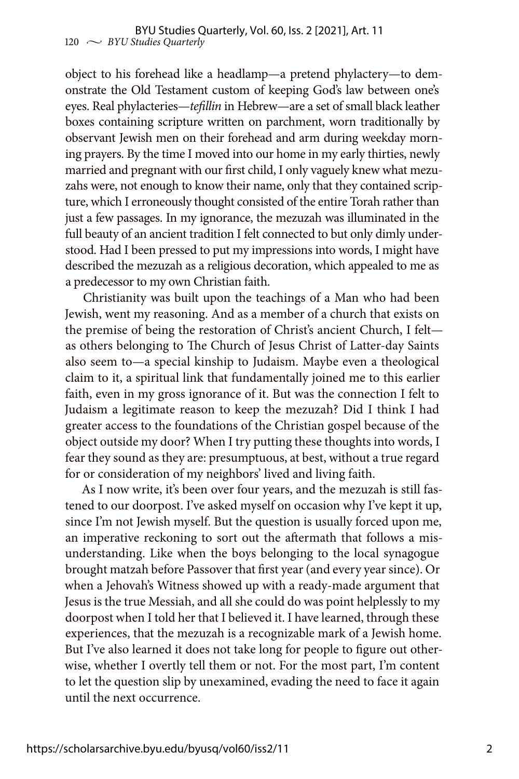object to his forehead like a headlamp—a pretend phylactery—to demonstrate the Old Testament custom of keeping God's law between one's eyes. Real phylacteries—*tefillin* in Hebrew—are a set of small black leather boxes containing scripture written on parchment, worn traditionally by observant Jewish men on their forehead and arm during weekday morning prayers. By the time I moved into our home in my early thirties, newly married and pregnant with our first child, I only vaguely knew what mezuzahs were, not enough to know their name, only that they contained scripture, which I erroneously thought consisted of the entire Torah rather than just a few passages. In my ignorance, the mezuzah was illuminated in the full beauty of an ancient tradition I felt connected to but only dimly understood. Had I been pressed to put my impressions into words, I might have described the mezuzah as a religious decoration, which appealed to me as a predecessor to my own Christian faith.

Christianity was built upon the teachings of a Man who had been Jewish, went my reasoning. And as a member of a church that exists on the premise of being the restoration of Christ's ancient Church, I felt as others belonging to The Church of Jesus Christ of Latter-day Saints also seem to—a special kinship to Judaism. Maybe even a theological claim to it, a spiritual link that fundamentally joined me to this earlier faith, even in my gross ignorance of it. But was the connection I felt to Judaism a legitimate reason to keep the mezuzah? Did I think I had greater access to the foundations of the Christian gospel because of the object outside my door? When I try putting these thoughts into words, I fear they sound as they are: presumptuous, at best, without a true regard for or consideration of my neighbors' lived and living faith.

As I now write, it's been over four years, and the mezuzah is still fastened to our doorpost. I've asked myself on occasion why I've kept it up, since I'm not Jewish myself. But the question is usually forced upon me, an imperative reckoning to sort out the aftermath that follows a misunderstanding. Like when the boys belonging to the local synagogue brought matzah before Passover that first year (and every year since). Or when a Jehovah's Witness showed up with a ready-made argument that Jesus is the true Messiah, and all she could do was point helplessly to my doorpost when I told her that I believed it. I have learned, through these experiences, that the mezuzah is a recognizable mark of a Jewish home. But I've also learned it does not take long for people to figure out otherwise, whether I overtly tell them or not. For the most part, I'm content to let the question slip by unexamined, evading the need to face it again until the next occurrence.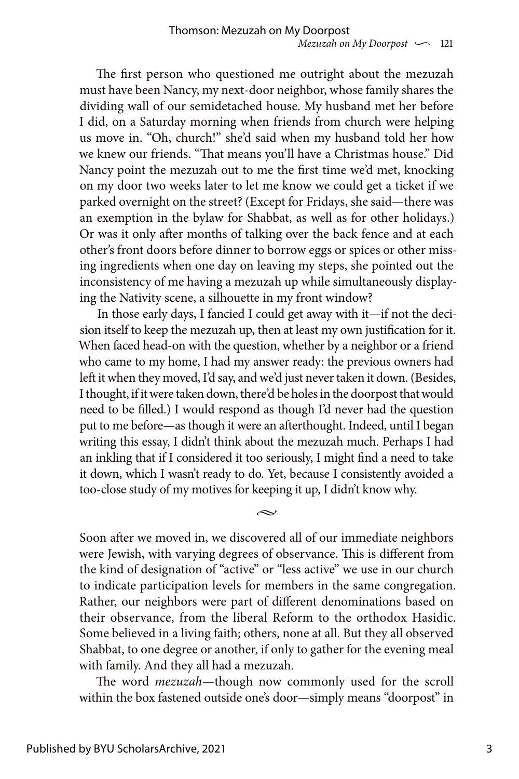The first person who questioned me outright about the mezuzah must have been Nancy, my next-door neighbor, whose family shares the dividing wall of our semidetached house. My husband met her before I did, on a Saturday morning when friends from church were helping us move in. "Oh, church!" she'd said when my husband told her how we knew our friends. "That means you'll have a Christmas house." Did Nancy point the mezuzah out to me the first time we'd met, knocking on my door two weeks later to let me know we could get a ticket if we parked overnight on the street? (Except for Fridays, she said—there was an exemption in the bylaw for Shabbat, as well as for other holidays.) Or was it only after months of talking over the back fence and at each other's front doors before dinner to borrow eggs or spices or other missing ingredients when one day on leaving my steps, she pointed out the inconsistency of me having a mezuzah up while simultaneously displaying the Nativity scene, a silhouette in my front window?

In those early days, I fancied I could get away with it—if not the decision itself to keep the mezuzah up, then at least my own justification for it. When faced head-on with the question, whether by a neighbor or a friend who came to my home, I had my answer ready: the previous owners had left it when they moved, I'd say, and we'd just never taken it down. (Besides, I thought, if it were taken down, there'd be holes in the doorpost that would need to be filled.) I would respond as though I'd never had the question put to me before—as though it were an afterthought. Indeed, until I began writing this essay, I didn't think about the mezuzah much. Perhaps I had an inkling that if I considered it too seriously, I might find a need to take it down, which I wasn't ready to do. Yet, because I consistently avoided a too-close study of my motives for keeping it up, I didn't know why.

Soon after we moved in, we discovered all of our immediate neighbors were Jewish, with varying degrees of observance. This is different from the kind of designation of "active" or "less active" we use in our church to indicate participation levels for members in the same congregation. Rather, our neighbors were part of different denominations based on their observance, from the liberal Reform to the orthodox Hasidic. Some believed in a living faith; others, none at all. But they all observed Shabbat, to one degree or another, if only to gather for the evening meal with family. And they all had a mezuzah.

 $\sim$ 

The word *mezuzah*—though now commonly used for the scroll within the box fastened outside one's door—simply means "doorpost" in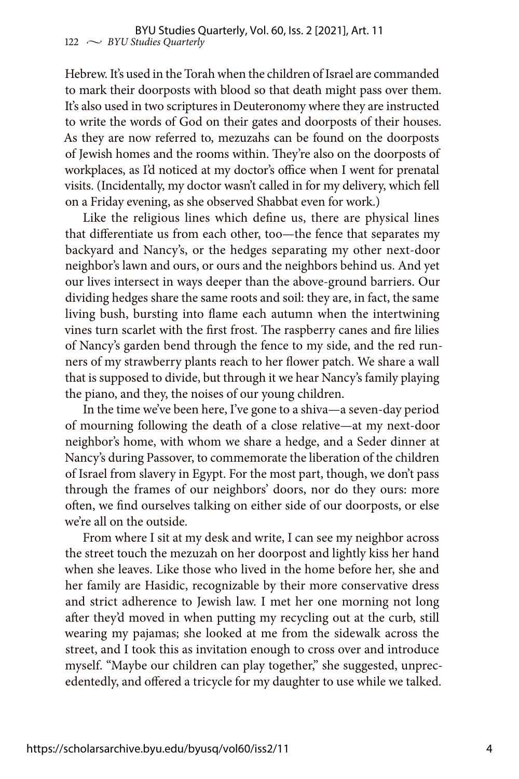Hebrew. It's used in the Torah when the children of Israel are commanded to mark their doorposts with blood so that death might pass over them. It's also used in two scriptures in Deuteronomy where they are instructed to write the words of God on their gates and doorposts of their houses. As they are now referred to, mezuzahs can be found on the doorposts of Jewish homes and the rooms within. They're also on the doorposts of workplaces, as I'd noticed at my doctor's office when I went for prenatal visits. (Incidentally, my doctor wasn't called in for my delivery, which fell on a Friday evening, as she observed Shabbat even for work.)

Like the religious lines which define us, there are physical lines that differentiate us from each other, too—the fence that separates my backyard and Nancy's, or the hedges separating my other next-door neighbor's lawn and ours, or ours and the neighbors behind us. And yet our lives intersect in ways deeper than the above-ground barriers. Our dividing hedges share the same roots and soil: they are, in fact, the same living bush, bursting into flame each autumn when the intertwining vines turn scarlet with the first frost. The raspberry canes and fire lilies of Nancy's garden bend through the fence to my side, and the red runners of my strawberry plants reach to her flower patch. We share a wall that is supposed to divide, but through it we hear Nancy's family playing the piano, and they, the noises of our young children.

In the time we've been here, I've gone to a shiva—a seven-day period of mourning following the death of a close relative—at my next-door neighbor's home, with whom we share a hedge, and a Seder dinner at Nancy's during Passover, to commemorate the liberation of the children of Israel from slavery in Egypt. For the most part, though, we don't pass through the frames of our neighbors' doors, nor do they ours: more often, we find ourselves talking on either side of our doorposts, or else we're all on the outside.

From where I sit at my desk and write, I can see my neighbor across the street touch the mezuzah on her doorpost and lightly kiss her hand when she leaves. Like those who lived in the home before her, she and her family are Hasidic, recognizable by their more conservative dress and strict adherence to Jewish law. I met her one morning not long after they'd moved in when putting my recycling out at the curb, still wearing my pajamas; she looked at me from the sidewalk across the street, and I took this as invitation enough to cross over and introduce myself. "Maybe our children can play together," she suggested, unprecedentedly, and offered a tricycle for my daughter to use while we talked.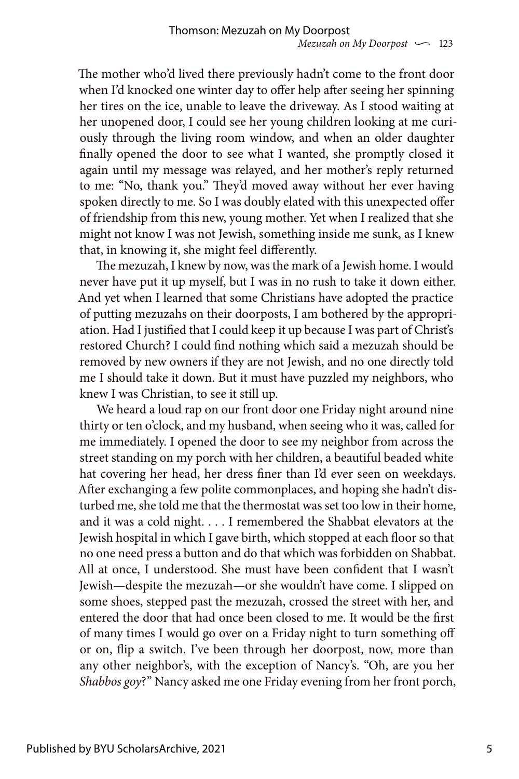The mother who'd lived there previously hadn't come to the front door when I'd knocked one winter day to offer help after seeing her spinning her tires on the ice, unable to leave the driveway. As I stood waiting at her unopened door, I could see her young children looking at me curiously through the living room window, and when an older daughter finally opened the door to see what I wanted, she promptly closed it again until my message was relayed, and her mother's reply returned to me: "No, thank you." They'd moved away without her ever having spoken directly to me. So I was doubly elated with this unexpected offer of friendship from this new, young mother. Yet when I realized that she might not know I was not Jewish, something inside me sunk, as I knew that, in knowing it, she might feel differently.

The mezuzah, I knew by now, was the mark of a Jewish home. I would never have put it up myself, but I was in no rush to take it down either. And yet when I learned that some Christians have adopted the practice of putting mezuzahs on their doorposts, I am bothered by the appropriation. Had I justified that I could keep it up because I was part of Christ's restored Church? I could find nothing which said a mezuzah should be removed by new owners if they are not Jewish, and no one directly told me I should take it down. But it must have puzzled my neighbors, who knew I was Christian, to see it still up.

We heard a loud rap on our front door one Friday night around nine thirty or ten o'clock, and my husband, when seeing who it was, called for me immediately. I opened the door to see my neighbor from across the street standing on my porch with her children, a beautiful beaded white hat covering her head, her dress finer than I'd ever seen on weekdays. After exchanging a few polite commonplaces, and hoping she hadn't disturbed me, she told me that the thermostat was set too low in their home, and it was a cold night. . . . I remembered the Shabbat elevators at the Jewish hospital in which I gave birth, which stopped at each floor so that no one need press a button and do that which was forbidden on Shabbat. All at once, I understood. She must have been confident that I wasn't Jewish—despite the mezuzah—or she wouldn't have come. I slipped on some shoes, stepped past the mezuzah, crossed the street with her, and entered the door that had once been closed to me. It would be the first of many times I would go over on a Friday night to turn something off or on, flip a switch. I've been through her doorpost, now, more than any other neighbor's, with the exception of Nancy's. "Oh, are you her *Shabbos goy*?" Nancy asked me one Friday evening from her front porch,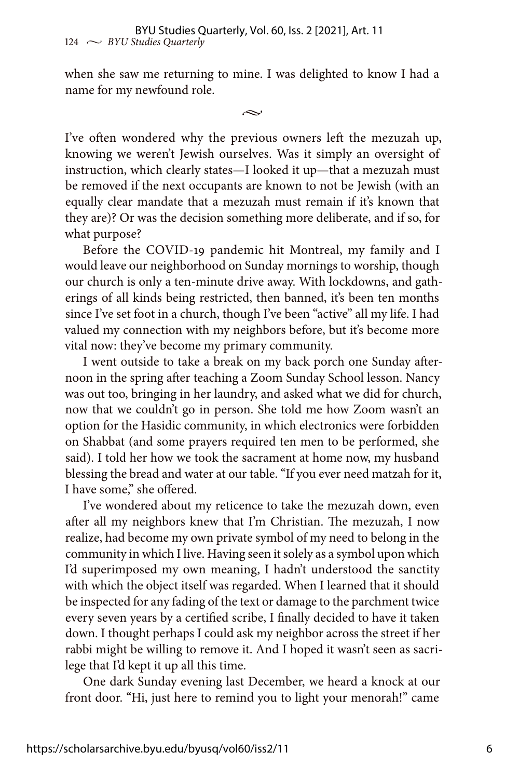when she saw me returning to mine. I was delighted to know I had a name for my newfound role.

 $\sim$ 

I've often wondered why the previous owners left the mezuzah up, knowing we weren't Jewish ourselves. Was it simply an oversight of instruction, which clearly states—I looked it up—that a mezuzah must be removed if the next occupants are known to not be Jewish (with an equally clear mandate that a mezuzah must remain if it's known that they are)? Or was the decision something more deliberate, and if so, for what purpose?

Before the COVID-19 pandemic hit Montreal, my family and I would leave our neighborhood on Sunday mornings to worship, though our church is only a ten-minute drive away. With lockdowns, and gatherings of all kinds being restricted, then banned, it's been ten months since I've set foot in a church, though I've been "active" all my life. I had valued my connection with my neighbors before, but it's become more vital now: they've become my primary community.

I went outside to take a break on my back porch one Sunday afternoon in the spring after teaching a Zoom Sunday School lesson. Nancy was out too, bringing in her laundry, and asked what we did for church, now that we couldn't go in person. She told me how Zoom wasn't an option for the Hasidic community, in which electronics were forbidden on Shabbat (and some prayers required ten men to be performed, she said). I told her how we took the sacrament at home now, my husband blessing the bread and water at our table. "If you ever need matzah for it, I have some," she offered.

I've wondered about my reticence to take the mezuzah down, even after all my neighbors knew that I'm Christian. The mezuzah, I now realize, had become my own private symbol of my need to belong in the community in which I live. Having seen it solely as a symbol upon which I'd superimposed my own meaning, I hadn't understood the sanctity with which the object itself was regarded. When I learned that it should be inspected for any fading of the text or damage to the parchment twice every seven years by a certified scribe, I finally decided to have it taken down. I thought perhaps I could ask my neighbor across the street if her rabbi might be willing to remove it. And I hoped it wasn't seen as sacrilege that I'd kept it up all this time.

One dark Sunday evening last December, we heard a knock at our front door. "Hi, just here to remind you to light your menorah!" came